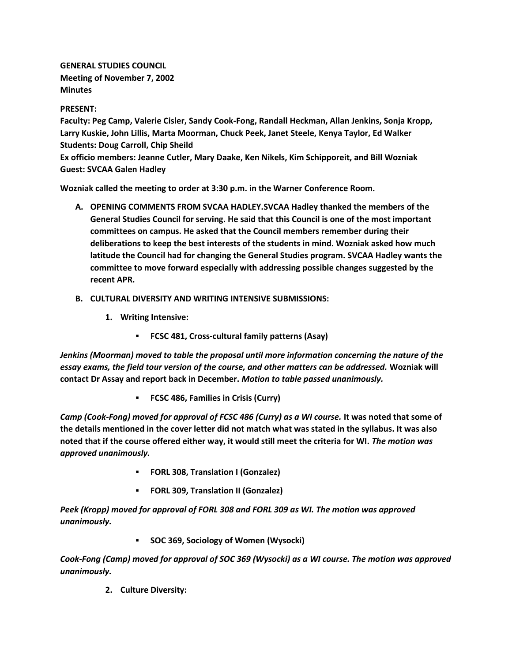**GENERAL STUDIES COUNCIL Meeting of November 7, 2002 Minutes**

## **PRESENT:**

**Faculty: Peg Camp, Valerie Cisler, Sandy Cook-Fong, Randall Heckman, Allan Jenkins, Sonja Kropp, Larry Kuskie, John Lillis, Marta Moorman, Chuck Peek, Janet Steele, Kenya Taylor, Ed Walker Students: Doug Carroll, Chip Sheild**

**Ex officio members: Jeanne Cutler, Mary Daake, Ken Nikels, Kim Schipporeit, and Bill Wozniak Guest: SVCAA Galen Hadley**

**Wozniak called the meeting to order at 3:30 p.m. in the Warner Conference Room.**

- **A. OPENING COMMENTS FROM SVCAA HADLEY.SVCAA Hadley thanked the members of the General Studies Council for serving. He said that this Council is one of the most important committees on campus. He asked that the Council members remember during their deliberations to keep the best interests of the students in mind. Wozniak asked how much latitude the Council had for changing the General Studies program. SVCAA Hadley wants the committee to move forward especially with addressing possible changes suggested by the recent APR.**
- **B. CULTURAL DIVERSITY AND WRITING INTENSIVE SUBMISSIONS:**
	- **1. Writing Intensive:**
		- **FCSC 481, Cross-cultural family patterns (Asay)**

*Jenkins (Moorman) moved to table the proposal until more information concerning the nature of the essay exams, the field tour version of the course, and other matters can be addressed.* **Wozniak will contact Dr Assay and report back in December.** *Motion to table passed unanimously.*

**FCSC 486, Families in Crisis (Curry)**

*Camp (Cook-Fong) moved for approval of FCSC 486 (Curry) as a WI course.* **It was noted that some of the details mentioned in the cover letter did not match what was stated in the syllabus. It was also noted that if the course offered either way, it would still meet the criteria for WI.** *The motion was approved unanimously.*

- **FORL 308, Translation I (Gonzalez)**
- **FORL 309, Translation II (Gonzalez)**

*Peek (Kropp) moved for approval of FORL 308 and FORL 309 as WI. The motion was approved unanimously.*

**SOC 369, Sociology of Women (Wysocki)**

*Cook-Fong (Camp) moved for approval of SOC 369 (Wysocki) as a WI course. The motion was approved unanimously.*

**2. Culture Diversity:**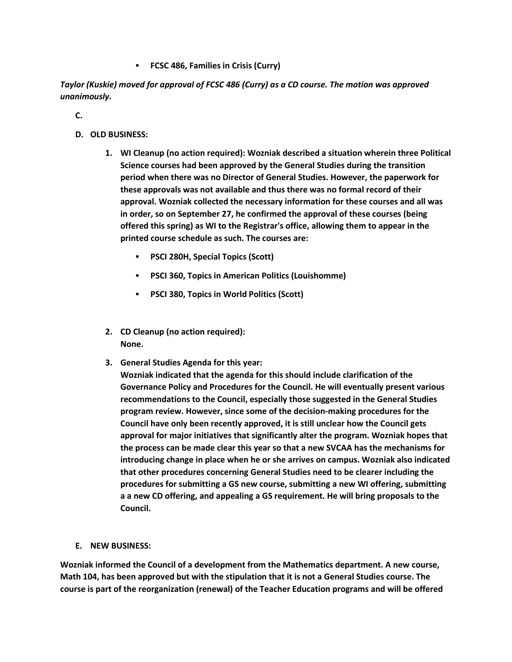**FCSC 486, Families in Crisis (Curry)**

*Taylor (Kuskie) moved for approval of FCSC 486 (Curry) as a CD course. The motion was approved unanimously.*

**C.**

- **D. OLD BUSINESS:**
	- **1. WI Cleanup (no action required): Wozniak described a situation wherein three Political Science courses had been approved by the General Studies during the transition period when there was no Director of General Studies. However, the paperwork for these approvals was not available and thus there was no formal record of their approval. Wozniak collected the necessary information for these courses and all was in order, so on September 27, he confirmed the approval of these courses (being offered this spring) as WI to the Registrar's office, allowing them to appear in the printed course schedule as such. The courses are:** 
		- **PSCI 280H, Special Topics (Scott)**
		- **PSCI 360, Topics in American Politics (Louishomme)**
		- **PSCI 380, Topics in World Politics (Scott)**
	- **2. CD Cleanup (no action required): None.**
	- **3. General Studies Agenda for this year:**
		- **Wozniak indicated that the agenda for this should include clarification of the Governance Policy and Procedures for the Council. He will eventually present various recommendations to the Council, especially those suggested in the General Studies program review. However, since some of the decision-making procedures for the Council have only been recently approved, it is still unclear how the Council gets approval for major initiatives that significantly alter the program. Wozniak hopes that the process can be made clear this year so that a new SVCAA has the mechanisms for introducing change in place when he or she arrives on campus. Wozniak also indicated that other procedures concerning General Studies need to be clearer including the procedures for submitting a GS new course, submitting a new WI offering, submitting a a new CD offering, and appealing a GS requirement. He will bring proposals to the Council.**
- **E. NEW BUSINESS:**

**Wozniak informed the Council of a development from the Mathematics department. A new course, Math 104, has been approved but with the stipulation that it is not a General Studies course. The course is part of the reorganization (renewal) of the Teacher Education programs and will be offered**